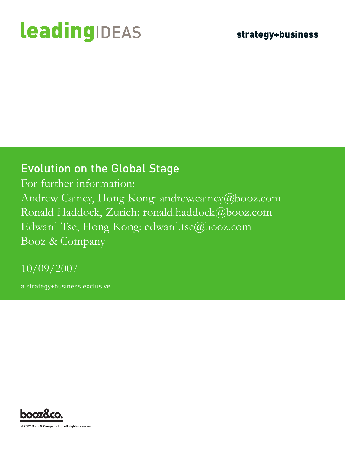# **leadingIDEAS**

### Evolution on the Global Stage

For further information: Andrew Cainey, Hong Kong: andrew.cainey@booz.com Ronald Haddock, Zurich: ronald.haddock@booz.com Edward Tse, Hong Kong: edward.tse@booz.com Booz & Company

10/09/2007

a strategy+business exclusive



© 2007 Booz & Company Inc. All rights reserved.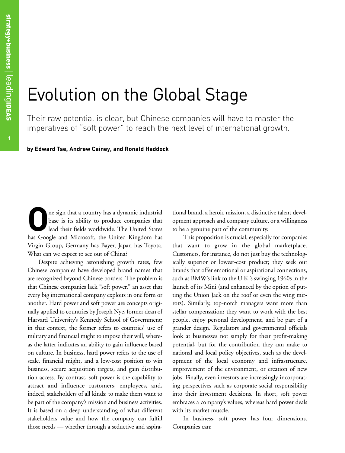## Evolution on the Global Stage

Their raw potential is clear, but Chinese companies will have to master the imperatives of "soft power" to reach the next level of international growth.

**by Edward Tse, Andrew Cainey, and Ronald Haddock**

The sign that a country has a dynamic industrial<br>base is its ability to produce companies that<br>lead their fields worldwide. The United States<br>has Coogle and Microsoft, the United Kingdom has base is its ability to produce companies that lead their fields worldwide. The United States has Google and Microsoft, the United Kingdom has Virgin Group, Germany has Bayer, Japan has Toyota. What can we expect to see out of China?

Despite achieving astonishing growth rates, few Chinese companies have developed brand names that are recognized beyond Chinese borders. The problem is that Chinese companies lack "soft power," an asset that every big international company exploits in one form or another. Hard power and soft power are concepts originally applied to countries by Joseph Nye, former dean of Harvard University's Kennedy School of Government; in that context, the former refers to countries' use of military and financial might to impose their will, whereas the latter indicates an ability to gain influence based on culture. In business, hard power refers to the use of scale, financial might, and a low-cost position to win business, secure acquisition targets, and gain distribution access. By contrast, soft power is the capability to attract and influence customers, employees, and, indeed, stakeholders of all kinds: to make them want to be part of the company's mission and business activities. It is based on a deep understanding of what different stakeholders value and how the company can fulfill those needs — whether through a seductive and aspirational brand, a heroic mission, a distinctive talent development approach and company culture, or a willingness to be a genuine part of the community.

This proposition is crucial, especially for companies that want to grow in the global marketplace. Customers, for instance, do not just buy the technologically superior or lowest-cost product; they seek out brands that offer emotional or aspirational connections, such as BMW's link to the U.K.'s swinging 1960s in the launch of its Mini (and enhanced by the option of putting the Union Jack on the roof or even the wing mirrors). Similarly, top-notch managers want more than stellar compensation; they want to work with the best people, enjoy personal development, and be part of a grander design. Regulators and governmental officials look at businesses not simply for their profit-making potential, but for the contribution they can make to national and local policy objectives, such as the development of the local economy and infrastructure, improvement of the environment, or creation of new jobs. Finally, even investors are increasingly incorporating perspectives such as corporate social responsibility into their investment decisions. In short, soft power embraces a company's values, whereas hard power deals with its market muscle.

In business, soft power has four dimensions. Companies can: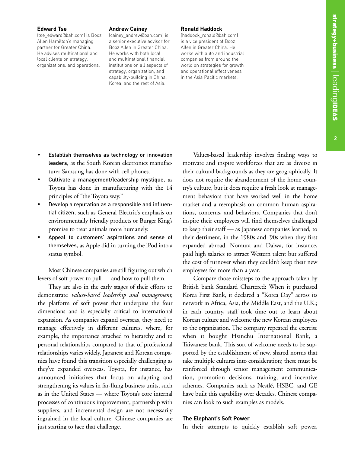#### **Edward Tse**

(tse\_edward@bah.com) is Booz Allen Hamilton's managing partner for Greater China. He advises multinational and local clients on strategy, organizations, and operations.

#### **Andrew Cainey**

(cainey\_andrew@bah.com) is a senior executive advisor for Booz Allen in Greater China. He works with both local and multinational financial institutions on all aspects of strategy, organization, and capability-building in China, Korea, and the rest of Asia.

#### **Ronald Haddock**

(haddock\_ronald@bah.com) is a vice president of Booz Allen in Greater China. He works with auto and industrial companies from around the world on strategies for growth and operational effectiveness in the Asia Pacific markets.

- Establish themselves as technology or innovation leaders, as the South Korean electronics manufacturer Samsung has done with cell phones.
- Cultivate a management/leadership mystique, as Toyota has done in manufacturing with the 14 principles of "the Toyota way."
- Develop a reputation as a responsible and influential citizen, such as General Electric's emphasis on environmentally friendly products or Burger King's promise to treat animals more humanely.
- Appeal to customers' aspirations and sense of themselves, as Apple did in turning the iPod into a status symbol.

Most Chinese companies are still figuring out which levers of soft power to pull — and how to pull them.

They are also in the early stages of their efforts to demonstrate *values-based leadership and management*, the platform of soft power that underpins the four dimensions and is especially critical to international expansion. As companies expand overseas, they need to manage effectively in different cultures, where, for example, the importance attached to hierarchy and to personal relationships compared to that of professional relationships varies widely. Japanese and Korean companies have found this transition especially challenging as they've expanded overseas. Toyota, for instance, has announced initiatives that focus on adapting and strengthening its values in far-flung business units, such as in the United States — where Toyota's core internal processes of continuous improvement, partnership with suppliers, and incremental design are not necessarily ingrained in the local culture. Chinese companies are just starting to face that challenge.

Values-based leadership involves finding ways to motivate and inspire workforces that are as diverse in their cultural backgrounds as they are geographically. It does not require the abandonment of the home country's culture, but it does require a fresh look at management behaviors that have worked well in the home market and a reemphasis on common human aspirations, concerns, and behaviors. Companies that don't inspire their employees will find themselves challenged to keep their staff — as Japanese companies learned, to their detriment, in the 1980s and '90s when they first expanded abroad. Nomura and Daiwa, for instance, paid high salaries to attract Western talent but suffered the cost of turnover when they couldn't keep their new employees for more than a year.

Compare those missteps to the approach taken by British bank Standard Chartered: When it purchased Korea First Bank, it declared a "Korea Day" across its network in Africa, Asia, the Middle East, and the U.K.; in each country, staff took time out to learn about Korean culture and welcome the new Korean employees to the organization. The company repeated the exercise when it bought Hsinchu International Bank, a Taiwanese bank. This sort of welcome needs to be supported by the establishment of new, shared norms that take multiple cultures into consideration; these must be reinforced through senior management communication, promotion decisions, training, and incentive schemes. Companies such as Nestlé, HSBC, and GE have built this capability over decades. Chinese companies can look to such examples as models.

#### **The Elephant's Soft Power**

In their attempts to quickly establish soft power,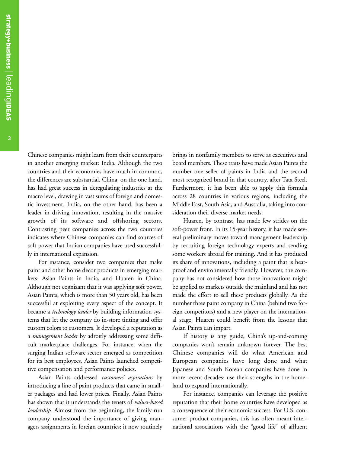Chinese companies might learn from their counterparts in another emerging market: India. Although the two countries and their economies have much in common, the differences are substantial. China, on the one hand, has had great success in deregulating industries at the macro level, drawing in vast sums of foreign and domestic investment. India, on the other hand, has been a leader in driving innovation, resulting in the massive growth of its software and offshoring sectors. Contrasting peer companies across the two countries indicates where Chinese companies can find sources of soft power that Indian companies have used successfully in international expansion.

For instance, consider two companies that make paint and other home decor products in emerging markets: Asian Paints in India, and Huaren in China. Although not cognizant that it was applying soft power, Asian Paints, which is more than 50 years old, has been successful at exploiting every aspect of the concept. It became a *technology leader* by building information systems that let the company do in-store tinting and offer custom colors to customers. It developed a reputation as a *management leader* by adroitly addressing some difficult marketplace challenges. For instance, when the surging Indian software sector emerged as competition for its best employees, Asian Paints launched competitive compensation and performance policies.

Asian Paints addressed *customers' aspirations* by introducing a line of paint products that came in smaller packages and had lower prices. Finally, Asian Paints has shown that it understands the tenets of *values-based leadership*. Almost from the beginning, the family-run company understood the importance of giving managers assignments in foreign countries; it now routinely

brings in nonfamily members to serve as executives and board members. These traits have made Asian Paints the number one seller of paints in India and the second most recognized brand in that country, after Tata Steel. Furthermore, it has been able to apply this formula across 28 countries in various regions, including the Middle East, South Asia, and Australia, taking into consideration their diverse market needs.

Huaren, by contrast, has made few strides on the soft-power front. In its 15-year history, it has made several preliminary moves toward management leadership by recruiting foreign technology experts and sending some workers abroad for training. And it has produced its share of innovations, including a paint that is heatproof and environmentally friendly. However, the company has not considered how those innovations might be applied to markets outside the mainland and has not made the effort to sell these products globally. As the number three paint company in China (behind two foreign competitors) and a new player on the international stage, Huaren could benefit from the lessons that Asian Paints can impart.

If history is any guide, China's up-and-coming companies won't remain unknown forever. The best Chinese companies will do what American and European companies have long done and what Japanese and South Korean companies have done in more recent decades: use their strengths in the homeland to expand internationally.

For instance, companies can leverage the positive reputation that their home countries have developed as a consequence of their economic success. For U.S. consumer product companies, this has often meant international associations with the "good life" of affluent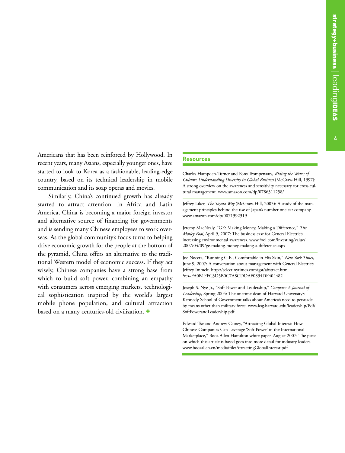**4**

Americans that has been reinforced by Hollywood. In recent years, many Asians, especially younger ones, have started to look to Korea as a fashionable, leading-edge country, based on its technical leadership in mobile communication and its soap operas and movies.

Similarly, China's continued growth has already started to attract attention. In Africa and Latin America, China is becoming a major foreign investor and alternative source of financing for governments and is sending many Chinese employees to work overseas. As the global community's focus turns to helping drive economic growth for the people at the bottom of the pyramid, China offers an alternative to the traditional Western model of economic success. If they act wisely, Chinese companies have a strong base from which to build soft power, combining an empathy with consumers across emerging markets, technological sophistication inspired by the world's largest mobile phone population, and cultural attraction based on a many centuries-old civilization. +

#### **Resources**

Charles Hampden-Turner and Fons Trompenaars, *Riding the Waves of Culture: Understanding Diversity in Global Business* (McGraw-Hill, 1997): A strong overview on the awareness and sensitivity necessary for cross-cultural management. www.amazon.com/dp/0786311258/

Jeffrey Liker, *The Toyota Way* (McGraw-Hill, 2003): A study of the management principles behind the rise of Japan's number one car company. www.amazon.com/dp/0071392319

Jeremy MacNealy, "GE: Making Money, Making a Difference," *The Motley Fool*, April 9, 2007: The business case for General Electric's increasing environmental awareness. www.fool.com/investing/value/ 2007/04/09/ge-making-money-making-a-difference.aspx

Joe Nocera, "Running G.E., Comfortable in His Skin," *New York Times*, June 9, 2007: A conversation about management with General Electric's Jeffrey Immelt. http://select.nytimes.com/gst/abstract.html ?res=FA0B1FFC3D5B0C7A8CDDAF0894DF404482

Joseph S. Nye Jr., "Soft Power and Leadership," *Compass: A Journal of Leadership*, Spring 2004: The onetime dean of Harvard University's Kennedy School of Government talks about America's need to persuade by means other than military force. www.ksg.harvard.edu/leadership/Pdf/ SoftPowerandLeadership.pdf

Edward Tse and Andrew Cainey, "Attracting Global Interest: How Chinese Companies Can Leverage 'Soft Power' in the International Marketplace," Booz Allen Hamilton white paper, August 2007: The piece on which this article is based goes into more detail for industry leaders. www.boozallen.cn/media/file/AttractingGlobalInterest.pdf